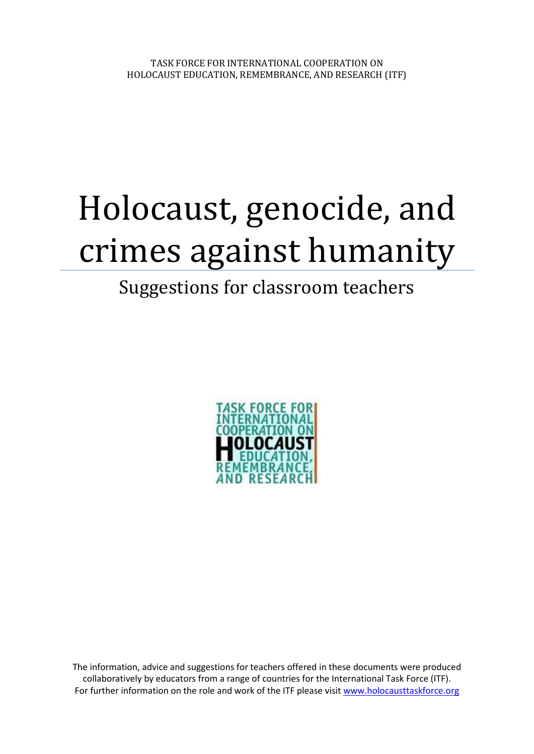# Holocaust, genocide, and crimes against humanity

## Suggestions for classroom teachers



The information, advice and suggestions for teachers offered in these documents were produced collaboratively by educators from a range of countries for the International Task Force (ITF). For further information on the role and work of the ITF please visit [www.holocausttaskforce.org](http://www.holocausttaskforce.org/)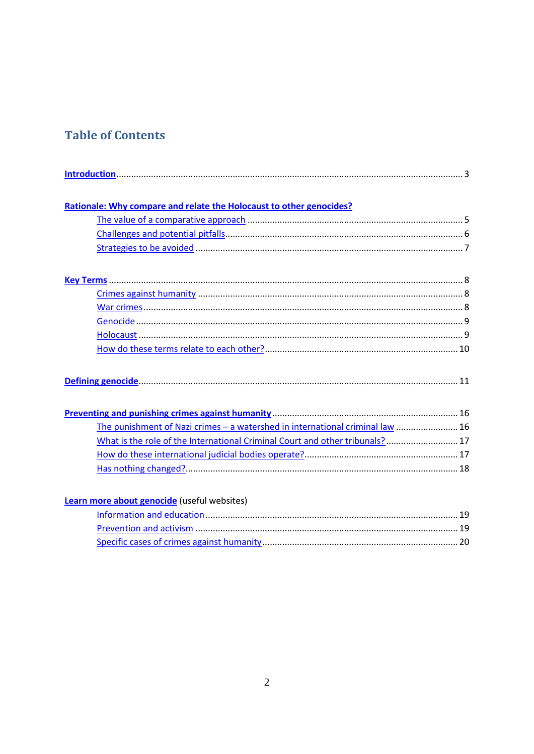### **Table of Contents**

| Rationale: Why compare and relate the Holocaust to other genocides?           |
|-------------------------------------------------------------------------------|
|                                                                               |
|                                                                               |
|                                                                               |
|                                                                               |
|                                                                               |
|                                                                               |
|                                                                               |
|                                                                               |
|                                                                               |
|                                                                               |
|                                                                               |
| The punishment of Nazi crimes - a watershed in international criminal law  16 |
| What is the role of the International Criminal Court and other tribunals? 17  |
|                                                                               |
|                                                                               |
| Learn more about genocide (useful websites)                                   |
|                                                                               |
|                                                                               |
|                                                                               |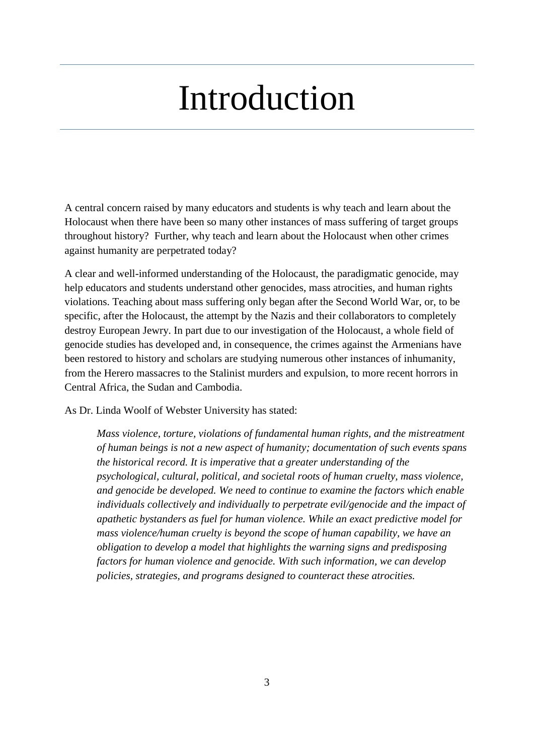## <span id="page-2-0"></span>Introduction

A central concern raised by many educators and students is why teach and learn about the Holocaust when there have been so many other instances of mass suffering of target groups throughout history? Further, why teach and learn about the Holocaust when other crimes against humanity are perpetrated today?

A clear and well-informed understanding of the Holocaust, the paradigmatic genocide, may help educators and students understand other genocides, mass atrocities, and human rights violations. Teaching about mass suffering only began after the Second World War, or, to be specific, after the Holocaust, the attempt by the Nazis and their collaborators to completely destroy European Jewry. In part due to our investigation of the Holocaust, a whole field of genocide studies has developed and, in consequence, the crimes against the Armenians have been restored to history and scholars are studying numerous other instances of inhumanity, from the Herero massacres to the Stalinist murders and expulsion, to more recent horrors in Central Africa, the Sudan and Cambodia.

As Dr. Linda Woolf of Webster University has stated:

*Mass violence, torture, violations of fundamental human rights, and the mistreatment of human beings is not a new aspect of humanity; documentation of such events spans the historical record. It is imperative that a greater understanding of the psychological, cultural, political, and societal roots of human cruelty, mass violence, and genocide be developed. We need to continue to examine the factors which enable individuals collectively and individually to perpetrate evil/genocide and the impact of apathetic bystanders as fuel for human violence. While an exact predictive model for mass violence/human cruelty is beyond the scope of human capability, we have an obligation to develop a model that highlights the warning signs and predisposing factors for human violence and genocide. With such information, we can develop policies, strategies, and programs designed to counteract these atrocities.*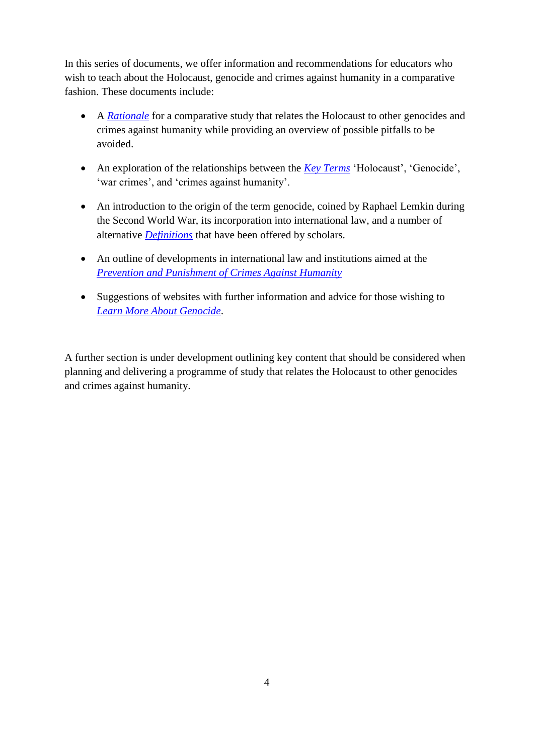In this series of documents, we offer information and recommendations for educators who wish to teach about the Holocaust, genocide and crimes against humanity in a comparative fashion. These documents include:

- A *[Rationale](#page-4-0)* for a comparative study that relates the Holocaust to other genocides and crimes against humanity while providing an overview of possible pitfalls to be avoided.
- An exploration of the relationships between the *[Key Terms](#page-7-0)* 'Holocaust', 'Genocide', 'war crimes', and 'crimes against humanity'.
- An introduction to the origin of the term genocide, coined by Raphael Lemkin during the Second World War, its incorporation into international law, and a number of alternative *[Definitions](#page-10-0)* that have been offered by scholars.
- An outline of developments in international law and institutions aimed at the *[Prevention and Punishment of Crimes Against Humanity](#page-15-0)*
- Suggestions of websites with further information and advice for those wishing to *[Learn More About Genocide](#page-18-0)*.

A further section is under development outlining key content that should be considered when planning and delivering a programme of study that relates the Holocaust to other genocides and crimes against humanity.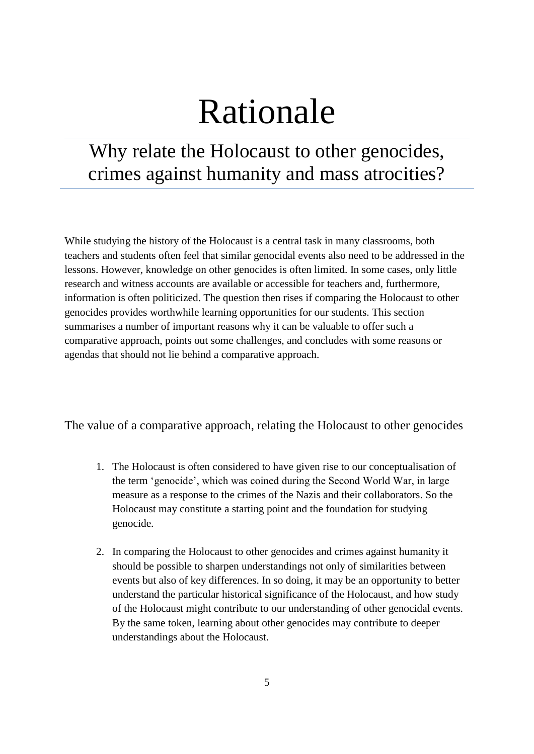# Rationale

## <span id="page-4-0"></span>Why relate the Holocaust to other genocides, crimes against humanity and mass atrocities?

While studying the history of the Holocaust is a central task in many classrooms, both teachers and students often feel that similar genocidal events also need to be addressed in the lessons. However, knowledge on other genocides is often limited. In some cases, only little research and witness accounts are available or accessible for teachers and, furthermore, information is often politicized. The question then rises if comparing the Holocaust to other genocides provides worthwhile learning opportunities for our students. This section summarises a number of important reasons why it can be valuable to offer such a comparative approach, points out some challenges, and concludes with some reasons or agendas that should not lie behind a comparative approach.

<span id="page-4-1"></span>The value of a comparative approach, relating the Holocaust to other genocides

- 1. The Holocaust is often considered to have given rise to our conceptualisation of the term "genocide", which was coined during the Second World War, in large measure as a response to the crimes of the Nazis and their collaborators. So the Holocaust may constitute a starting point and the foundation for studying genocide.
- 2. In comparing the Holocaust to other genocides and crimes against humanity it should be possible to sharpen understandings not only of similarities between events but also of key differences. In so doing, it may be an opportunity to better understand the particular historical significance of the Holocaust, and how study of the Holocaust might contribute to our understanding of other genocidal events. By the same token, learning about other genocides may contribute to deeper understandings about the Holocaust.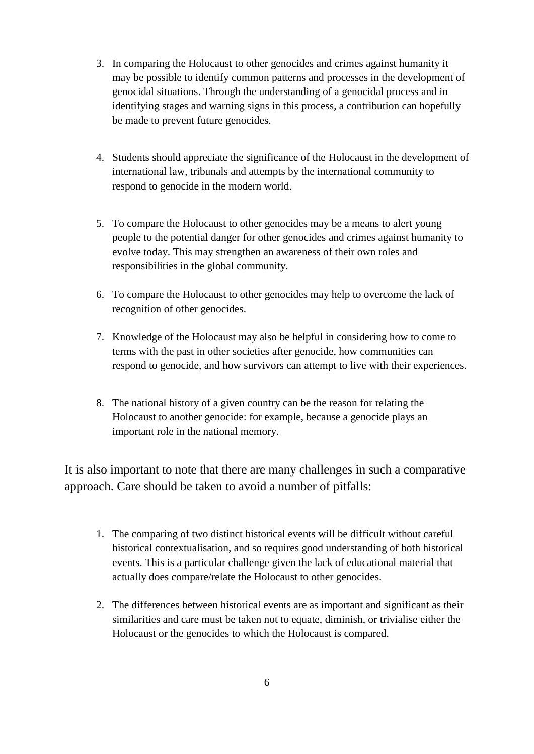- 3. In comparing the Holocaust to other genocides and crimes against humanity it may be possible to identify common patterns and processes in the development of genocidal situations. Through the understanding of a genocidal process and in identifying stages and warning signs in this process, a contribution can hopefully be made to prevent future genocides.
- 4. Students should appreciate the significance of the Holocaust in the development of international law, tribunals and attempts by the international community to respond to genocide in the modern world.
- 5. To compare the Holocaust to other genocides may be a means to alert young people to the potential danger for other genocides and crimes against humanity to evolve today. This may strengthen an awareness of their own roles and responsibilities in the global community.
- 6. To compare the Holocaust to other genocides may help to overcome the lack of recognition of other genocides.
- 7. Knowledge of the Holocaust may also be helpful in considering how to come to terms with the past in other societies after genocide, how communities can respond to genocide, and how survivors can attempt to live with their experiences.
- 8. The national history of a given country can be the reason for relating the Holocaust to another genocide: for example, because a genocide plays an important role in the national memory.

<span id="page-5-0"></span>It is also important to note that there are many challenges in such a comparative approach. Care should be taken to avoid a number of pitfalls:

- 1. The comparing of two distinct historical events will be difficult without careful historical contextualisation, and so requires good understanding of both historical events. This is a particular challenge given the lack of educational material that actually does compare/relate the Holocaust to other genocides.
- 2. The differences between historical events are as important and significant as their similarities and care must be taken not to equate, diminish, or trivialise either the Holocaust or the genocides to which the Holocaust is compared.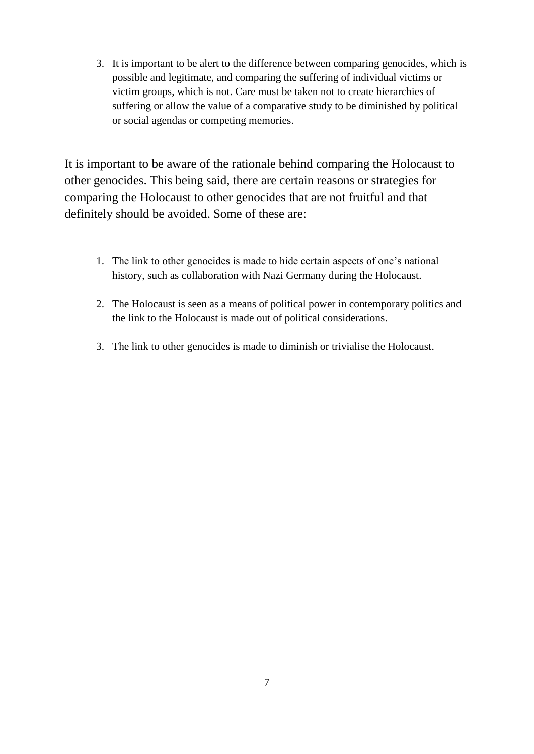3. It is important to be alert to the difference between comparing genocides, which is possible and legitimate, and comparing the suffering of individual victims or victim groups, which is not. Care must be taken not to create hierarchies of suffering or allow the value of a comparative study to be diminished by political or social agendas or competing memories.

<span id="page-6-0"></span>It is important to be aware of the rationale behind comparing the Holocaust to other genocides. This being said, there are certain reasons or strategies for comparing the Holocaust to other genocides that are not fruitful and that definitely should be avoided. Some of these are:

- 1. The link to other genocides is made to hide certain aspects of one"s national history, such as collaboration with Nazi Germany during the Holocaust.
- 2. The Holocaust is seen as a means of political power in contemporary politics and the link to the Holocaust is made out of political considerations.
- 3. The link to other genocides is made to diminish or trivialise the Holocaust.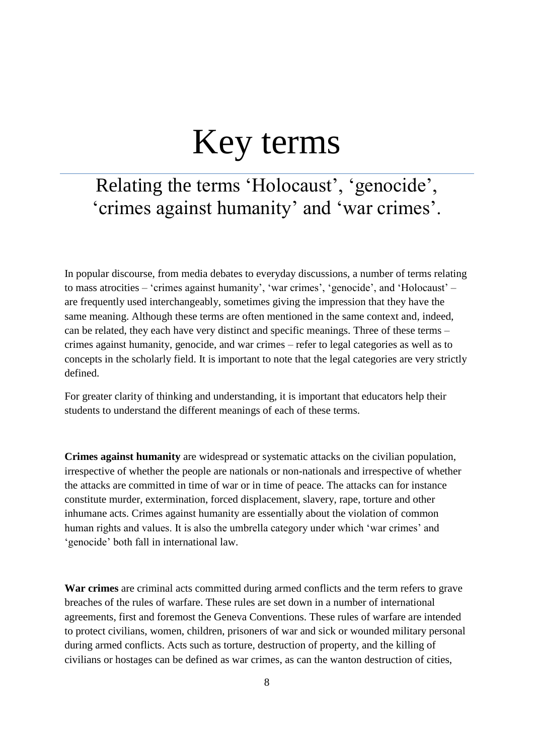# Key terms

## <span id="page-7-0"></span>Relating the terms 'Holocaust', 'genocide', 'crimes against humanity' and 'war crimes'.

In popular discourse, from media debates to everyday discussions, a number of terms relating to mass atrocities – 'crimes against humanity', 'war crimes', 'genocide', and 'Holocaust' – are frequently used interchangeably, sometimes giving the impression that they have the same meaning. Although these terms are often mentioned in the same context and, indeed, can be related, they each have very distinct and specific meanings. Three of these terms – crimes against humanity, genocide, and war crimes – refer to legal categories as well as to concepts in the scholarly field. It is important to note that the legal categories are very strictly defined.

For greater clarity of thinking and understanding, it is important that educators help their students to understand the different meanings of each of these terms.

<span id="page-7-1"></span>**Crimes against humanity** are widespread or systematic attacks on the civilian population, irrespective of whether the people are nationals or non-nationals and irrespective of whether the attacks are committed in time of war or in time of peace. The attacks can for instance constitute murder, extermination, forced displacement, slavery, rape, torture and other inhumane acts. Crimes against humanity are essentially about the violation of common human rights and values. It is also the umbrella category under which 'war crimes' and 'genocide' both fall in international law.

<span id="page-7-2"></span>**War crimes** are criminal acts committed during armed conflicts and the term refers to grave breaches of the rules of warfare. These rules are set down in a number of international agreements, first and foremost the Geneva Conventions. These rules of warfare are intended to protect civilians, women, children, prisoners of war and sick or wounded military personal during armed conflicts. Acts such as torture, destruction of property, and the killing of civilians or hostages can be defined as war crimes, as can the wanton destruction of cities,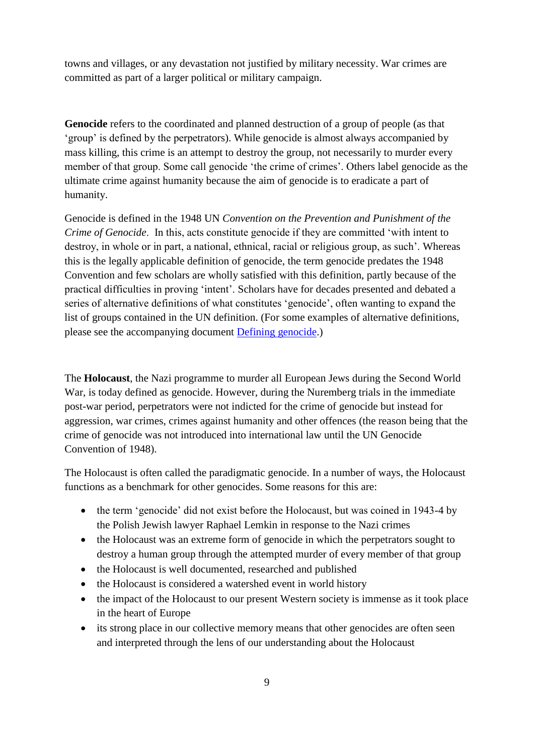towns and villages, or any devastation not justified by military necessity. War crimes are committed as part of a larger political or military campaign.

<span id="page-8-0"></span>**Genocide** refers to the coordinated and planned destruction of a group of people (as that "group" is defined by the perpetrators). While genocide is almost always accompanied by mass killing, this crime is an attempt to destroy the group, not necessarily to murder every member of that group. Some call genocide 'the crime of crimes'. Others label genocide as the ultimate crime against humanity because the aim of genocide is to eradicate a part of humanity.

Genocide is defined in the 1948 UN *Convention on the Prevention and Punishment of the Crime of Genocide*. In this, acts constitute genocide if they are committed 'with intent to destroy, in whole or in part, a national, ethnical, racial or religious group, as such'. Whereas this is the legally applicable definition of genocide, the term genocide predates the 1948 Convention and few scholars are wholly satisfied with this definition, partly because of the practical difficulties in proving "intent". Scholars have for decades presented and debated a series of alternative definitions of what constitutes "genocide", often wanting to expand the list of groups contained in the UN definition. (For some examples of alternative definitions, please see the accompanying document [Defining genocide.](#page-10-0))

<span id="page-8-1"></span>The **Holocaust**, the Nazi programme to murder all European Jews during the Second World War, is today defined as genocide. However, during the Nuremberg trials in the immediate post-war period, perpetrators were not indicted for the crime of genocide but instead for aggression, war crimes, crimes against humanity and other offences (the reason being that the crime of genocide was not introduced into international law until the UN Genocide Convention of 1948).

The Holocaust is often called the paradigmatic genocide. In a number of ways, the Holocaust functions as a benchmark for other genocides. Some reasons for this are:

- the term 'genocide' did not exist before the Holocaust, but was coined in 1943-4 by the Polish Jewish lawyer Raphael Lemkin in response to the Nazi crimes
- the Holocaust was an extreme form of genocide in which the perpetrators sought to destroy a human group through the attempted murder of every member of that group
- the Holocaust is well documented, researched and published
- the Holocaust is considered a watershed event in world history
- the impact of the Holocaust to our present Western society is immense as it took place in the heart of Europe
- its strong place in our collective memory means that other genocides are often seen and interpreted through the lens of our understanding about the Holocaust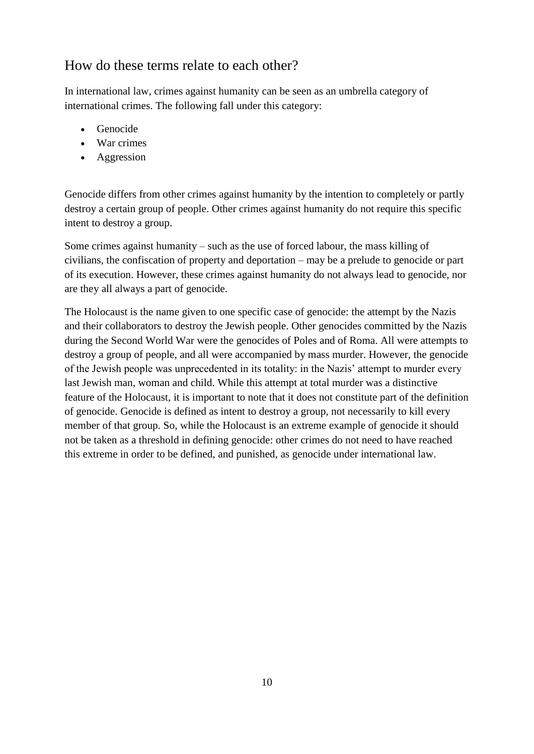### <span id="page-9-0"></span>How do these terms relate to each other?

In international law, crimes against humanity can be seen as an umbrella category of international crimes. The following fall under this category:

- Genocide
- War crimes
- Aggression

Genocide differs from other crimes against humanity by the intention to completely or partly destroy a certain group of people. Other crimes against humanity do not require this specific intent to destroy a group.

Some crimes against humanity – such as the use of forced labour, the mass killing of civilians, the confiscation of property and deportation – may be a prelude to genocide or part of its execution. However, these crimes against humanity do not always lead to genocide, nor are they all always a part of genocide.

The Holocaust is the name given to one specific case of genocide: the attempt by the Nazis and their collaborators to destroy the Jewish people. Other genocides committed by the Nazis during the Second World War were the genocides of Poles and of Roma. All were attempts to destroy a group of people, and all were accompanied by mass murder. However, the genocide of the Jewish people was unprecedented in its totality: in the Nazis" attempt to murder every last Jewish man, woman and child. While this attempt at total murder was a distinctive feature of the Holocaust, it is important to note that it does not constitute part of the definition of genocide. Genocide is defined as intent to destroy a group, not necessarily to kill every member of that group. So, while the Holocaust is an extreme example of genocide it should not be taken as a threshold in defining genocide: other crimes do not need to have reached this extreme in order to be defined, and punished, as genocide under international law.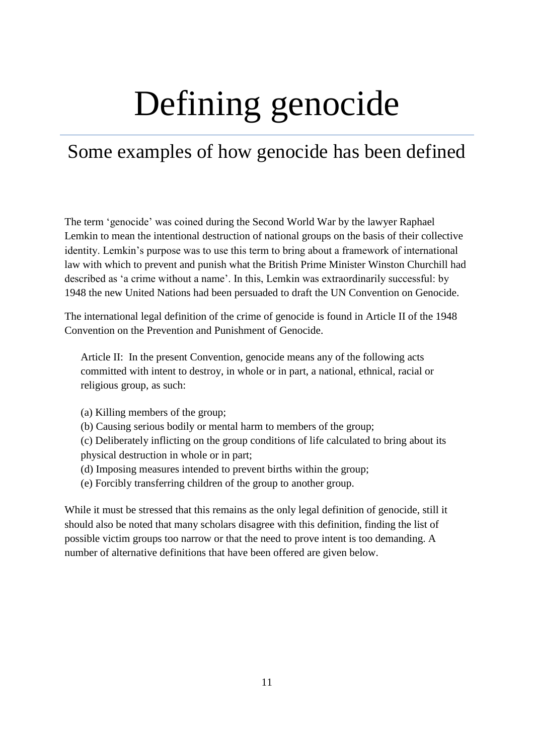# Defining genocide

### <span id="page-10-0"></span>Some examples of how genocide has been defined

The term "genocide" was coined during the Second World War by the lawyer Raphael Lemkin to mean the intentional destruction of national groups on the basis of their collective identity. Lemkin"s purpose was to use this term to bring about a framework of international law with which to prevent and punish what the British Prime Minister Winston Churchill had described as "a crime without a name". In this, Lemkin was extraordinarily successful: by 1948 the new United Nations had been persuaded to draft the UN Convention on Genocide.

The international legal definition of the crime of genocide is found in Article II of the 1948 Convention on the Prevention and Punishment of Genocide.

Article II: In the present Convention, genocide means any of the following acts committed with intent to destroy, in whole or in part, a national, ethnical, racial or religious group, as such:

- (a) Killing members of the group;
- (b) Causing serious bodily or mental harm to members of the group;
- (c) Deliberately inflicting on the group conditions of life calculated to bring about its physical destruction in whole or in part;
- (d) Imposing measures intended to prevent births within the group;
- (e) Forcibly transferring children of the group to another group.

While it must be stressed that this remains as the only legal definition of genocide, still it should also be noted that many scholars disagree with this definition, finding the list of possible victim groups too narrow or that the need to prove intent is too demanding. A number of alternative definitions that have been offered are given below.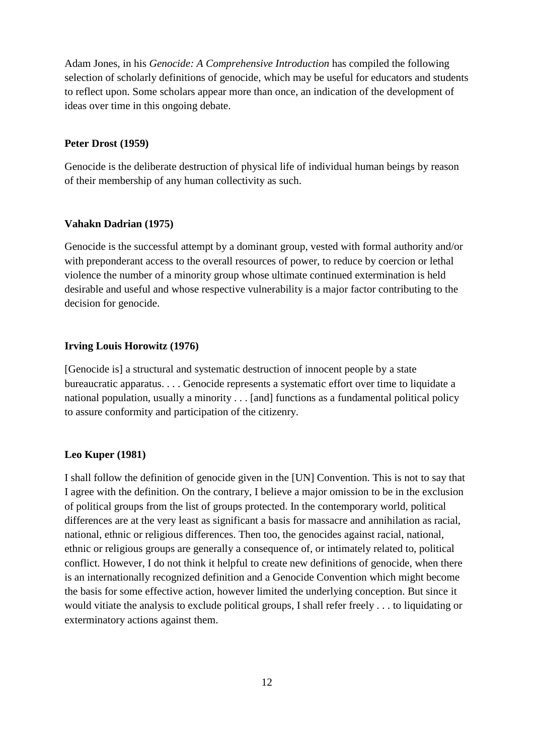Adam Jones, in his *Genocide: A Comprehensive Introduction* has compiled the following selection of scholarly definitions of genocide, which may be useful for educators and students to reflect upon. Some scholars appear more than once, an indication of the development of ideas over time in this ongoing debate.

#### **Peter Drost (1959)**

Genocide is the deliberate destruction of physical life of individual human beings by reason of their membership of any human collectivity as such.

#### **Vahakn Dadrian (1975)**

Genocide is the successful attempt by a dominant group, vested with formal authority and/or with preponderant access to the overall resources of power, to reduce by coercion or lethal violence the number of a minority group whose ultimate continued extermination is held desirable and useful and whose respective vulnerability is a major factor contributing to the decision for genocide.

#### **Irving Louis Horowitz (1976)**

[Genocide is] a structural and systematic destruction of innocent people by a state bureaucratic apparatus. . . . Genocide represents a systematic effort over time to liquidate a national population, usually a minority . . . [and] functions as a fundamental political policy to assure conformity and participation of the citizenry.

#### **Leo Kuper (1981)**

I shall follow the definition of genocide given in the [UN] Convention. This is not to say that I agree with the definition. On the contrary, I believe a major omission to be in the exclusion of political groups from the list of groups protected. In the contemporary world, political differences are at the very least as significant a basis for massacre and annihilation as racial, national, ethnic or religious differences. Then too, the genocides against racial, national, ethnic or religious groups are generally a consequence of, or intimately related to, political conflict. However, I do not think it helpful to create new definitions of genocide, when there is an internationally recognized definition and a Genocide Convention which might become the basis for some effective action, however limited the underlying conception. But since it would vitiate the analysis to exclude political groups, I shall refer freely . . . to liquidating or exterminatory actions against them.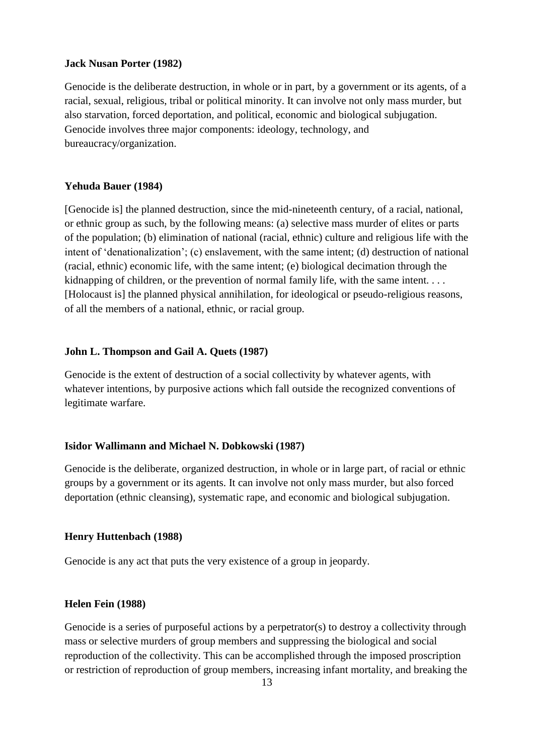#### **Jack Nusan Porter (1982)**

Genocide is the deliberate destruction, in whole or in part, by a government or its agents, of a racial, sexual, religious, tribal or political minority. It can involve not only mass murder, but also starvation, forced deportation, and political, economic and biological subjugation. Genocide involves three major components: ideology, technology, and bureaucracy/organization.

#### **Yehuda Bauer (1984)**

[Genocide is] the planned destruction, since the mid-nineteenth century, of a racial, national, or ethnic group as such, by the following means: (a) selective mass murder of elites or parts of the population; (b) elimination of national (racial, ethnic) culture and religious life with the intent of "denationalization"; (c) enslavement, with the same intent; (d) destruction of national (racial, ethnic) economic life, with the same intent; (e) biological decimation through the kidnapping of children, or the prevention of normal family life, with the same intent.... [Holocaust is] the planned physical annihilation, for ideological or pseudo-religious reasons, of all the members of a national, ethnic, or racial group.

#### **John L. Thompson and Gail A. Quets (1987)**

Genocide is the extent of destruction of a social collectivity by whatever agents, with whatever intentions, by purposive actions which fall outside the recognized conventions of legitimate warfare.

#### **Isidor Wallimann and Michael N. Dobkowski (1987)**

Genocide is the deliberate, organized destruction, in whole or in large part, of racial or ethnic groups by a government or its agents. It can involve not only mass murder, but also forced deportation (ethnic cleansing), systematic rape, and economic and biological subjugation.

#### **Henry Huttenbach (1988)**

Genocide is any act that puts the very existence of a group in jeopardy.

#### **Helen Fein (1988)**

Genocide is a series of purposeful actions by a perpetrator(s) to destroy a collectivity through mass or selective murders of group members and suppressing the biological and social reproduction of the collectivity. This can be accomplished through the imposed proscription or restriction of reproduction of group members, increasing infant mortality, and breaking the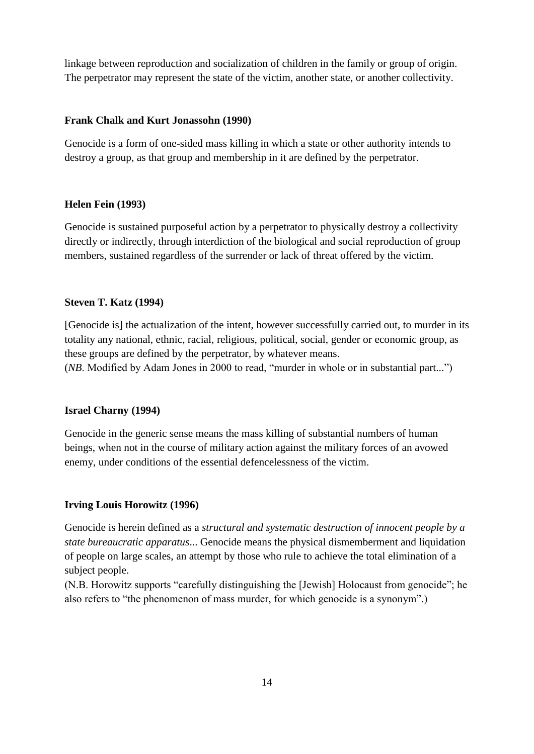linkage between reproduction and socialization of children in the family or group of origin. The perpetrator may represent the state of the victim, another state, or another collectivity.

#### **Frank Chalk and Kurt Jonassohn (1990)**

Genocide is a form of one-sided mass killing in which a state or other authority intends to destroy a group, as that group and membership in it are defined by the perpetrator.

#### **Helen Fein (1993)**

Genocide is sustained purposeful action by a perpetrator to physically destroy a collectivity directly or indirectly, through interdiction of the biological and social reproduction of group members, sustained regardless of the surrender or lack of threat offered by the victim.

#### **Steven T. Katz (1994)**

[Genocide is] the actualization of the intent, however successfully carried out, to murder in its totality any national, ethnic, racial, religious, political, social, gender or economic group, as these groups are defined by the perpetrator, by whatever means. (*NB*. Modified by Adam Jones in 2000 to read, "murder in whole or in substantial part...")

#### **Israel Charny (1994)**

Genocide in the generic sense means the mass killing of substantial numbers of human beings, when not in the course of military action against the military forces of an avowed enemy, under conditions of the essential defencelessness of the victim.

#### **Irving Louis Horowitz (1996)**

Genocide is herein defined as a *structural and systematic destruction of innocent people by a state bureaucratic apparatus*... Genocide means the physical dismemberment and liquidation of people on large scales, an attempt by those who rule to achieve the total elimination of a subject people.

(N.B. Horowitz supports "carefully distinguishing the [Jewish] Holocaust from genocide"; he also refers to "the phenomenon of mass murder, for which genocide is a synonym".)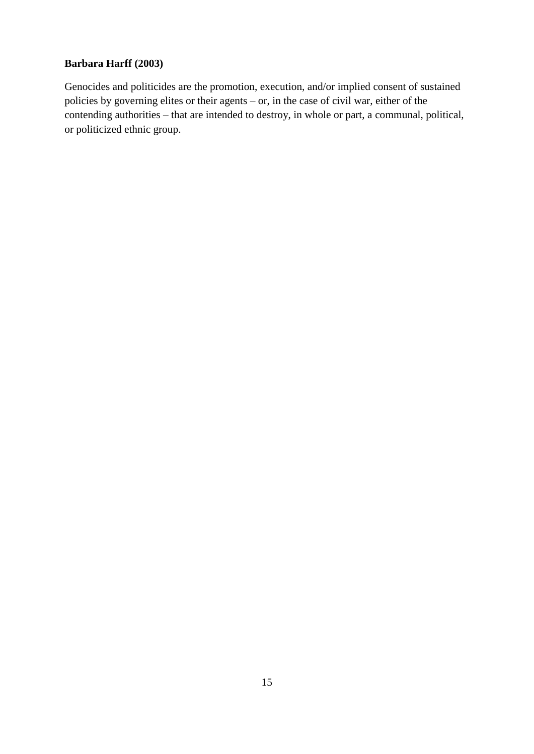#### **Barbara Harff (2003)**

Genocides and politicides are the promotion, execution, and/or implied consent of sustained policies by governing elites or their agents – or, in the case of civil war, either of the contending authorities – that are intended to destroy, in whole or part, a communal, political, or politicized ethnic group.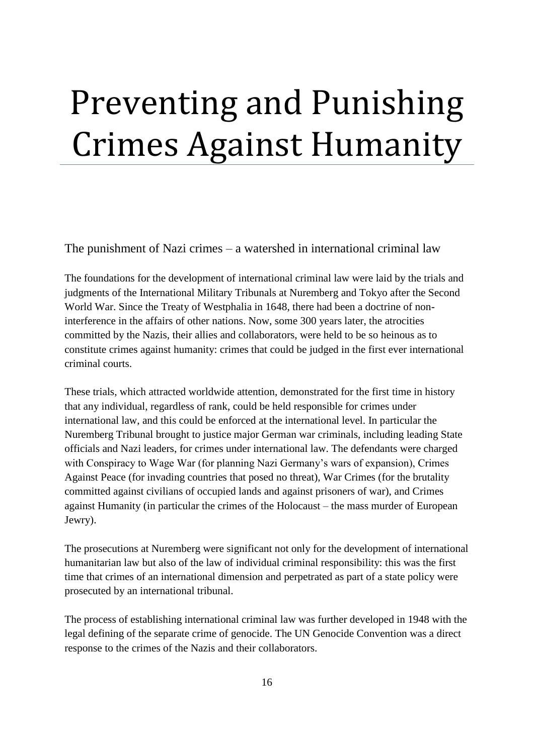# <span id="page-15-0"></span>Preventing and Punishing Crimes Against Humanity

<span id="page-15-1"></span>The punishment of Nazi crimes – a watershed in international criminal law

The foundations for the development of international criminal law were laid by the trials and judgments of the International Military Tribunals at Nuremberg and Tokyo after the Second World War. Since the Treaty of Westphalia in 1648, there had been a doctrine of noninterference in the affairs of other nations. Now, some 300 years later, the atrocities committed by the Nazis, their allies and collaborators, were held to be so heinous as to constitute crimes against humanity: crimes that could be judged in the first ever international criminal courts.

These trials, which attracted worldwide attention, demonstrated for the first time in history that any individual, regardless of rank, could be held responsible for crimes under international law, and this could be enforced at the international level. In particular the Nuremberg Tribunal brought to justice major German war criminals, including leading State officials and Nazi leaders, for crimes under international law. The defendants were charged with Conspiracy to Wage War (for planning Nazi Germany"s wars of expansion), Crimes Against Peace (for invading countries that posed no threat), War Crimes (for the brutality committed against civilians of occupied lands and against prisoners of war), and Crimes against Humanity (in particular the crimes of the Holocaust – the mass murder of European Jewry).

The prosecutions at Nuremberg were significant not only for the development of international humanitarian law but also of the law of individual criminal responsibility: this was the first time that crimes of an international dimension and perpetrated as part of a state policy were prosecuted by an international tribunal.

The process of establishing international criminal law was further developed in 1948 with the legal defining of the separate crime of genocide. The UN Genocide Convention was a direct response to the crimes of the Nazis and their collaborators.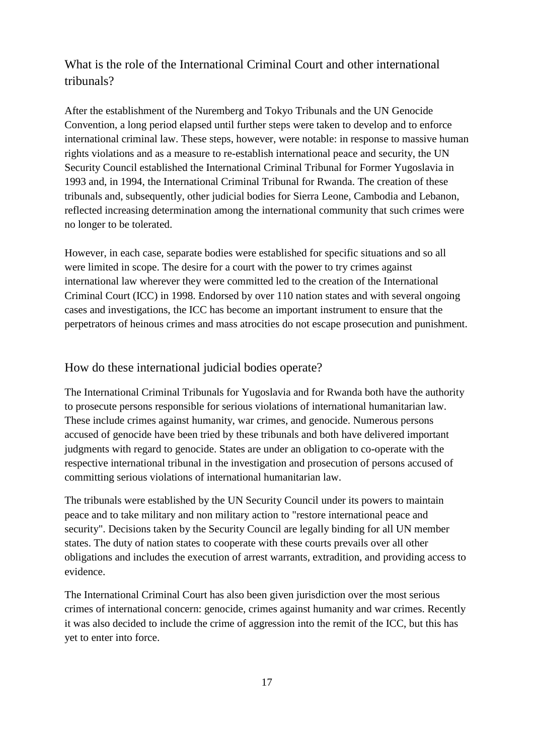### <span id="page-16-0"></span>What is the role of the International Criminal Court and other international tribunals?

After the establishment of the Nuremberg and Tokyo Tribunals and the UN Genocide Convention, a long period elapsed until further steps were taken to develop and to enforce international criminal law. These steps, however, were notable: in response to massive human rights violations and as a measure to re-establish international peace and security, the UN Security Council established the International Criminal Tribunal for Former Yugoslavia in 1993 and, in 1994, the International Criminal Tribunal for Rwanda. The creation of these tribunals and, subsequently, other judicial bodies for Sierra Leone, Cambodia and Lebanon, reflected increasing determination among the international community that such crimes were no longer to be tolerated.

However, in each case, separate bodies were established for specific situations and so all were limited in scope. The desire for a court with the power to try crimes against international law wherever they were committed led to the creation of the International Criminal Court (ICC) in 1998. Endorsed by over 110 nation states and with several ongoing cases and investigations, the ICC has become an important instrument to ensure that the perpetrators of heinous crimes and mass atrocities do not escape prosecution and punishment.

#### <span id="page-16-1"></span>How do these international judicial bodies operate?

The International Criminal Tribunals for Yugoslavia and for Rwanda both have the authority to prosecute persons responsible for serious violations of international humanitarian law. These include crimes against humanity, war crimes, and genocide. Numerous persons accused of genocide have been tried by these tribunals and both have delivered important judgments with regard to genocide. States are under an obligation to co-operate with the respective international tribunal in the investigation and prosecution of persons accused of committing serious violations of international humanitarian law.

The tribunals were established by the UN Security Council under its powers to maintain peace and to take military and non military action to "restore international peace and security". Decisions taken by the Security Council are legally binding for all UN member states. The duty of nation states to cooperate with these courts prevails over all other obligations and includes the execution of arrest warrants, extradition, and providing access to evidence.

The International Criminal Court has also been given jurisdiction over the most serious crimes of international concern: genocide, crimes against humanity and war crimes. Recently it was also decided to include the crime of aggression into the remit of the ICC, but this has yet to enter into force.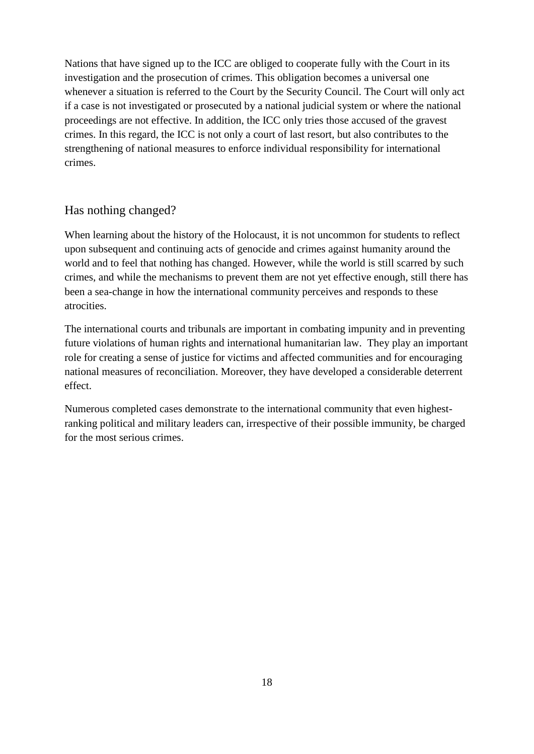Nations that have signed up to the ICC are obliged to cooperate fully with the Court in its investigation and the prosecution of crimes. This obligation becomes a universal one whenever a situation is referred to the Court by the Security Council. The Court will only act if a case is not investigated or prosecuted by a national judicial system or where the national proceedings are not effective. In addition, the ICC only tries those accused of the gravest crimes. In this regard, the ICC is not only a court of last resort, but also contributes to the strengthening of national measures to enforce individual responsibility for international crimes.

#### <span id="page-17-0"></span>Has nothing changed?

When learning about the history of the Holocaust, it is not uncommon for students to reflect upon subsequent and continuing acts of genocide and crimes against humanity around the world and to feel that nothing has changed. However, while the world is still scarred by such crimes, and while the mechanisms to prevent them are not yet effective enough, still there has been a sea-change in how the international community perceives and responds to these atrocities.

The international courts and tribunals are important in combating impunity and in preventing future violations of human rights and international humanitarian law. They play an important role for creating a sense of justice for victims and affected communities and for encouraging national measures of reconciliation. Moreover, they have developed a considerable deterrent effect.

Numerous completed cases demonstrate to the international community that even highestranking political and military leaders can, irrespective of their possible immunity, be charged for the most serious crimes.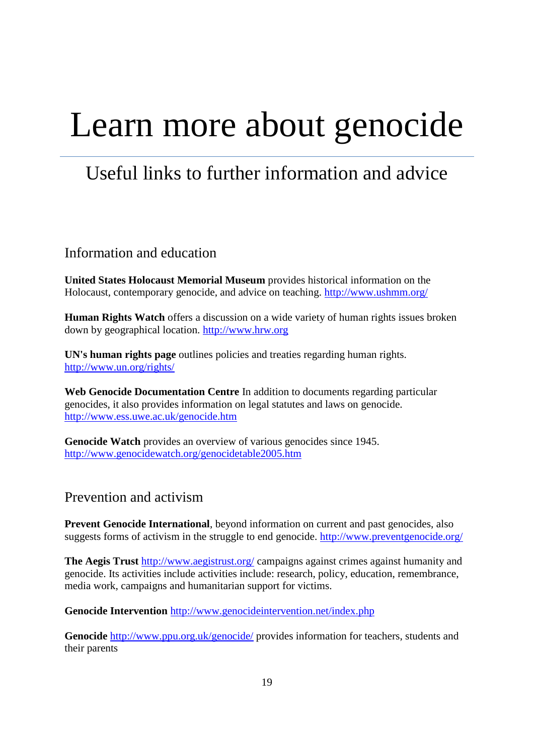# <span id="page-18-0"></span>Learn more about genocide

## Useful links to further information and advice

### <span id="page-18-1"></span>Information and education

**United States Holocaust Memorial Museum** provides historical information on the Holocaust, contemporary genocide, and advice on teaching.<http://www.ushmm.org/>

**Human Rights Watch** offers a discussion on a wide variety of human rights issues broken down by geographical location. [http://www.hrw.org](http://www.hrw.org/) 

**UN's human rights page** outlines policies and treaties regarding human rights. <http://www.un.org/rights/>

**Web Genocide Documentation Centre** In addition to documents regarding particular genocides, it also provides information on legal statutes and laws on genocide. <http://www.ess.uwe.ac.uk/genocide.htm>

**Genocide Watch** provides an overview of various genocides since 1945. [http://www.genocidewatch.org/genocidetable2005.htm](http://www.genocidewatch.org/genocidetable2003.htm) 

### <span id="page-18-2"></span>Prevention and activism

**Prevent Genocide International**, beyond information on current and past genocides, also suggests forms of activism in the struggle to end genocide.<http://www.preventgenocide.org/>

**The Aegis Trust** <http://www.aegistrust.org/> campaigns against crimes against humanity and genocide. Its activities include activities include: research, policy, education, remembrance, media work, campaigns and humanitarian support for victims.

**Genocide Intervention** <http://www.genocideintervention.net/index.php>

**Genocide** <http://www.ppu.org.uk/genocide/> provides information for teachers, students and their parents